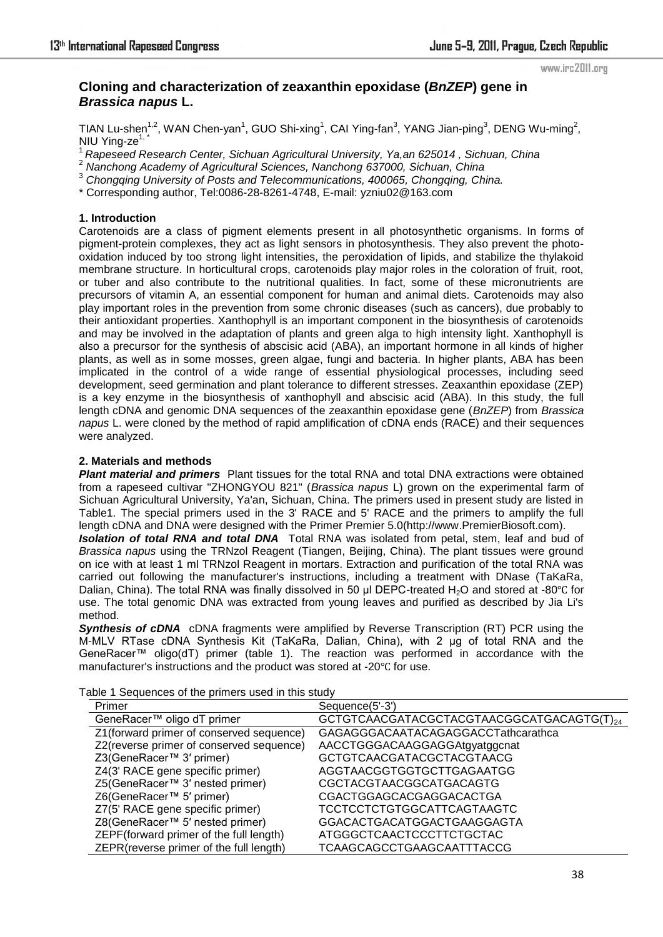#### www.irc2011.org

# **Cloning and characterization of zeaxanthin epoxidase (***BnZEP***) gene in**  *Brassica napus* **L.**

TIAN Lu-shen<sup>1,2</sup>, WAN Chen-yan<sup>1</sup>, GUO Shi-xing<sup>1</sup>, CAI Ying-fan<sup>3</sup>, YANG Jian-ping<sup>3</sup>, DENG Wu-ming<sup>2</sup>, NIU Ying-ze $1, 7$ 

<sup>1</sup>*Rapeseed Research Center, Sichuan Agricultural University, Ya,an 625014 , Sichuan, China* 

2  *Nanchong Academy of Agricultural Sciences, Nanchong 637000, Sichuan, China* 

3  *Chongqing University of Posts and Telecommunications, 400065, Chongqing, China.* 

\* Corresponding author, Tel:0086-28-8261-4748, E-mail: yzniu02@163.com

# **1. Introduction**

Carotenoids are a class of pigment elements present in all photosynthetic organisms. In forms of pigment-protein complexes, they act as light sensors in photosynthesis. They also prevent the photooxidation induced by too strong light intensities, the peroxidation of lipids, and stabilize the thylakoid membrane structure. In horticultural crops, carotenoids play major roles in the coloration of fruit, root, or tuber and also contribute to the nutritional qualities. In fact, some of these micronutrients are precursors of vitamin A, an essential component for human and animal diets. Carotenoids may also play important roles in the prevention from some chronic diseases (such as cancers), due probably to their antioxidant properties. Xanthophyll is an important component in the biosynthesis of carotenoids and may be involved in the adaptation of plants and green alga to high intensity light. Xanthophyll is also a precursor for the synthesis of abscisic acid (ABA), an important hormone in all kinds of higher plants, as well as in some mosses, green algae, fungi and bacteria. In higher plants, ABA has been implicated in the control of a wide range of essential physiological processes, including seed development, seed germination and plant tolerance to different stresses. Zeaxanthin epoxidase (ZEP) is a key enzyme in the biosynthesis of xanthophyll and abscisic acid (ABA). In this study, the full length cDNA and genomic DNA sequences of the zeaxanthin epoxidase gene (*BnZEP*) from *Brassica napus* L. were cloned by the method of rapid amplification of cDNA ends (RACE) and their sequences were analyzed.

# **2. Materials and methods**

*Plant material and primers* Plant tissues for the total RNA and total DNA extractions were obtained from a rapeseed cultivar "ZHONGYOU 821" (*Brassica napus* L) grown on the experimental farm of Sichuan Agricultural University, Ya'an, Sichuan, China. The primers used in present study are listed in Table1. The special primers used in the 3' RACE and 5' RACE and the primers to amplify the full length cDNA and DNA were designed with the Primer Premier 5.0(http://www.PremierBiosoft.com).

*Isolation of total RNA and total DNA* Total RNA was isolated from petal, stem, leaf and bud of *Brassica napus* using the TRNzol Reagent (Tiangen, Beijing, China). The plant tissues were ground on ice with at least 1 ml TRNzol Reagent in mortars. Extraction and purification of the total RNA was carried out following the manufacturer's instructions, including a treatment with DNase (TaKaRa, Dalian, China). The total RNA was finally dissolved in 50 µl DEPC-treated H<sub>2</sub>O and stored at -80°C for use. The total genomic DNA was extracted from young leaves and purified as described by Jia Li's method.

**Synthesis of cDNA** cDNA fragments were amplified by Reverse Transcription (RT) PCR using the M-MLV RTase cDNA Synthesis Kit (TaKaRa, Dalian, China), with 2 μg of total RNA and the GeneRacer™ oligo(dT) primer (table 1). The reaction was performed in accordance with the manufacturer's instructions and the product was stored at -20℃ for use.

| Primer                                   | Sequence(5'-3')                           |
|------------------------------------------|-------------------------------------------|
| GeneRacer™ oligo dT primer               | GCTGTCAACGATACGCTACGTAACGGCATGACAGTG(T)24 |
| Z1(forward primer of conserved sequence) | GAGAGGGACAATACAGAGGACCTathcarathca        |
| Z2(reverse primer of conserved sequence) | AACCTGGGACAAGGAGGAtgyatggcnat             |
| Z3(GeneRacer <sup>™</sup> 3' primer)     | GCTGTCAACGATACGCTACGTAACG                 |
| Z4(3' RACE gene specific primer)         | AGGTAACGGTGGTGCTTGAGAATGG                 |
| Z5(GeneRacer™ 3' nested primer)          | CGCTACGTAACGGCATGACAGTG                   |
| Z6(GeneRacer™ 5' primer)                 | <b>CGACTGGAGCACGAGGACACTGA</b>            |
| Z7(5' RACE gene specific primer)         | TCCTCCTCTGTGGCATTCAGTAAGTC                |
| Z8(GeneRacer™ 5' nested primer)          | GGACACTGACATGGACTGAAGGAGTA                |
| ZEPF(forward primer of the full length)  | ATGGGCTCAACTCCCTTCTGCTAC                  |
| ZEPR(reverse primer of the full length)  | TCAAGCAGCCTGAAGCAATTTACCG                 |

Table 1 Sequences of the primers used in this study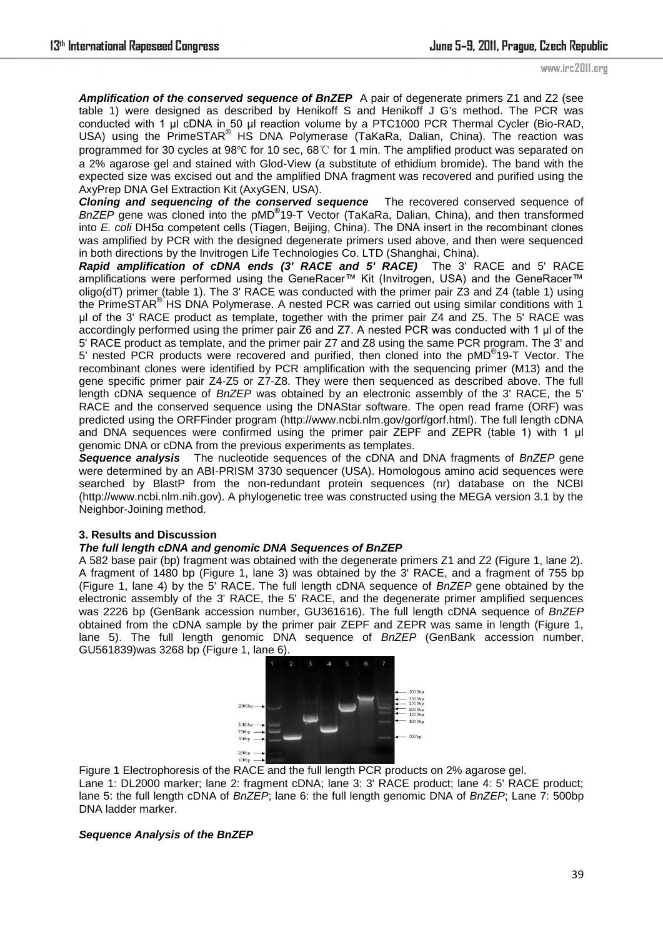**Amplification of the conserved sequence of BnZEP** A pair of degenerate primers Z1 and Z2 (see table 1) were designed as described by Henikoff S and Henikoff J G's method. The PCR was conducted with 1 μl cDNA in 50 μl reaction volume by a PTC1000 PCR Thermal Cycler (Bio-RAD, USA) using the PrimeSTAR<sup>®</sup> HS DNA Polymerase (TaKaRa, Dalian, China). The reaction was programmed for 30 cycles at 98℃ for 10 sec, 68℃ for 1 min. The amplified product was separated on a 2% agarose gel and stained with Glod-View (a substitute of ethidium bromide). The band with the expected size was excised out and the amplified DNA fragment was recovered and purified using the AxyPrep DNA Gel Extraction Kit (AxyGEN, USA).

*Cloning and sequencing of the conserved sequence* The recovered conserved sequence of BnZEP gene was cloned into the pMD<sup>®</sup>19-T Vector (TaKaRa, Dalian, China), and then transformed into *E. coli* DH5α competent cells (Tiagen, Beijing, China). The DNA insert in the recombinant clones was amplified by PCR with the designed degenerate primers used above, and then were sequenced in both directions by the Invitrogen Life Technologies Co. LTD (Shanghai, China).

*Rapid amplification of cDNA ends (3' RACE and 5' RACE)* The 3' RACE and 5' RACE amplifications were performed using the GeneRacer™ Kit (Invitrogen, USA) and the GeneRacer™ oligo(dT) primer (table 1). The 3' RACE was conducted with the primer pair Z3 and Z4 (table 1) using the PrimeSTAR® HS DNA Polymerase. A nested PCR was carried out using similar conditions with 1 μl of the 3' RACE product as template, together with the primer pair Z4 and Z5. The 5' RACE was accordingly performed using the primer pair Z6 and Z7. A nested PCR was conducted with 1 μl of the 5' RACE product as template, and the primer pair Z7 and Z8 using the same PCR program. The 3' and 5' nested PCR products were recovered and purified, then cloned into the pMD®19-T Vector. The recombinant clones were identified by PCR amplification with the sequencing primer (M13) and the gene specific primer pair Z4-Z5 or Z7-Z8. They were then sequenced as described above. The full length cDNA sequence of *BnZEP* was obtained by an electronic assembly of the 3' RACE, the 5' RACE and the conserved sequence using the DNAStar software. The open read frame (ORF) was predicted using the ORFFinder program (http://www.ncbi.nlm.gov/gorf/gorf.html). The full length cDNA and DNA sequences were confirmed using the primer pair ZEPF and ZEPR (table 1) with 1 μl genomic DNA or cDNA from the previous experiments as templates.

*Sequence analysis* The nucleotide sequences of the cDNA and DNA fragments of *BnZEP* gene were determined by an ABI-PRISM 3730 sequencer (USA). Homologous amino acid sequences were searched by BlastP from the non-redundant protein sequences (nr) database on the NCBI (http://www.ncbi.nlm.nih.gov). A phylogenetic tree was constructed using the MEGA version 3.1 by the Neighbor-Joining method.

## **3. Results and Discussion**

## *The full length cDNA and genomic DNA Sequences of BnZEP*

A 582 base pair (bp) fragment was obtained with the degenerate primers Z1 and Z2 (Figure 1, lane 2). A fragment of 1480 bp (Figure 1, lane 3) was obtained by the 3' RACE, and a fragment of 755 bp (Figure 1, lane 4) by the 5' RACE. The full length cDNA sequence of *BnZEP* gene obtained by the electronic assembly of the 3' RACE, the 5' RACE, and the degenerate primer amplified sequences was 2226 bp (GenBank accession number, GU361616). The full length cDNA sequence of *BnZEP* obtained from the cDNA sample by the primer pair ZEPF and ZEPR was same in length (Figure 1, lane 5). The full length genomic DNA sequence of *BnZEP* (GenBank accession number, GU561839)was 3268 bp (Figure 1, lane 6).



Figure 1 Electrophoresis of the RACE and the full length PCR products on 2% agarose gel. Lane 1: DL2000 marker; lane 2: fragment cDNA; lane 3: 3' RACE product; lane 4: 5' RACE product; lane 5: the full length cDNA of *BnZEP*; lane 6: the full length genomic DNA of *BnZEP*; Lane 7: 500bp DNA ladder marker.

## *Sequence Analysis of the BnZEP*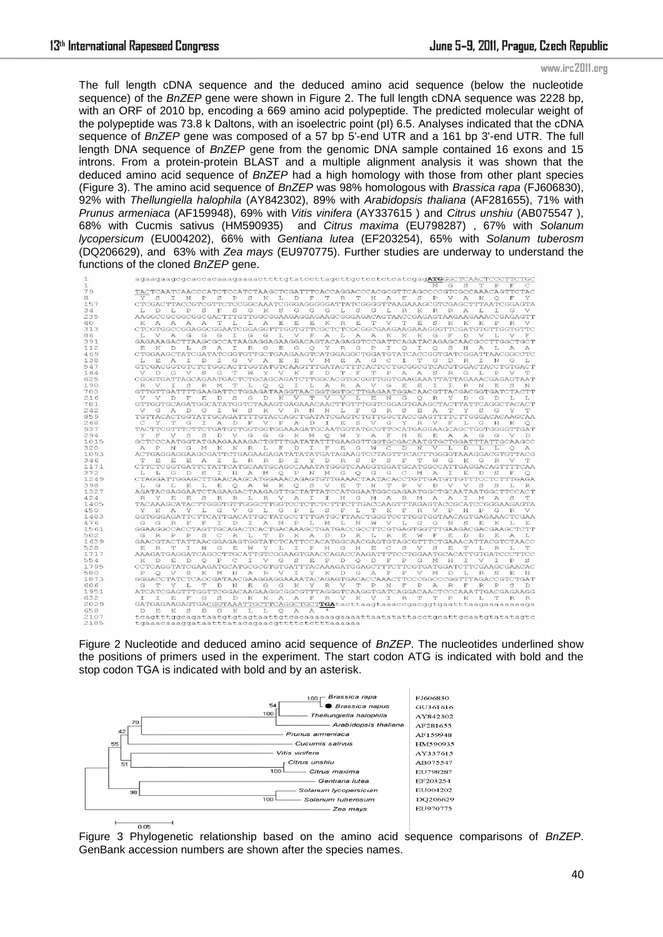www.irc2011.org

The full length cDNA sequence and the deduced amino acid sequence (below the nucleotide sequence) of the *BnZEP* gene were shown in Figure 2. The full length cDNA sequence was 2228 bp, with an ORF of 2010 bp, encoding a 669 amino acid polypeptide. The predicted molecular weight of the polypeptide was 73.8 k Daltons, with an isoelectric point (pI) 6.5. Analyses indicated that the cDNA sequence of *BnZEP* gene was composed of a 57 bp 5'-end UTR and a 161 bp 3'-end UTR. The full length DNA sequence of *BnZEP* gene from the genomic DNA sample contained 16 exons and 15 introns. From a protein-protein BLAST and a multiple alignment analysis it was shown that the deduced amino acid sequence of *BnZEP* had a high homology with those from other plant species (Figure 3). The amino acid sequence of *BnZEP* was 98% homologous with *Brassica rapa* (FJ606830), 92% with *Thellungiella halophila* (AY842302), 89% with *Arabidopsis thaliana* (AF281655), 71% with *Prunus armeniaca* (AF159948), 69% with *Vitis vinifera* (AY337615 ) and *Citrus unshiu* (AB075547 ), 68% with Cucmis sativus (HM590935) and *Citrus maxima* (EU798287) , 67% with *Solanum lycopersicum* (EU004202), 66% with *Gentiana lutea* (EF203254), 65% with *Solanum tuberosm* (DQ206629), and 63% with *Zea mays* (EU970775). Further studies are underway to understand the functions of the cloned *BnZEP* gene.

| $\mathbf{1}$ | agaagaagcgcaccacaaagaaaacttttgtatccttagcttgctcctctcatcgagATGGGCTCAACTCCCTTCTGC                                                                                                                                                              |
|--------------|---------------------------------------------------------------------------------------------------------------------------------------------------------------------------------------------------------------------------------------------|
| $\mathbf{1}$ | G<br>s<br>$\mathbb{P}$<br>F<br>C<br>т<br>м                                                                                                                                                                                                  |
| 79           | TACTCAATCAACCCATCTCCATCTAAGCTCGATTTCACCAGGACCCACGCGTTCAGCCCCGTCGCCAAACAGTTCTAC                                                                                                                                                              |
| 8            | Y<br>S<br>$\mathbb{D}$<br>т<br>R<br>S<br>$\mathbb{P}$<br>V<br>N<br>P<br>s<br>P<br>s<br>K<br>L<br>F<br>т<br>H<br>$\overline{A}$<br>F<br>A<br>К<br>$\circ$<br>Y                                                                               |
| 157          | CTCGACTTACCGTCGTTCTCCGGCAAATCGGGAGGGGATTATCGGGGTTAAGAAAGCGTCGAGCTTTAATCGGAGTA                                                                                                                                                               |
| 34           | S<br>S<br>G<br>$_{\rm K}$<br>s<br>G<br>G<br>G<br>s<br>G<br>R<br>R<br>R<br>L<br>D<br>L<br>P<br>F<br>L.<br>T.<br>K<br>$\mathcal{A}$<br>L<br>T<br>G<br>V                                                                                       |
| 235          | AAGGCCGCGGCGGCGACTTTGTTGGCGGAAGAGGAGAAGCGGGAGACACTAACCGAGAGTAAGAAGAAACCGAGAGTT                                                                                                                                                              |
| 60           | A<br>A<br>A<br>T<br>T.<br>т.<br>A<br>E<br>E<br>E<br>$_{K}$<br>$\mathbb{R}$<br>E<br>T<br>$\mathcal{F}$<br>T<br>E<br>s<br>K<br>ĸ<br>$\mathbb{P}$<br>ĸ<br>K<br>R<br><b>A</b>                                                                   |
| 313          | CTCGTGGCCGGAGGCGGAATCGGAGGTTTGGTGTTCGCTCTCGCGGCGAAGAAGAAGGGTTCGATGTGTTGGTGTTC                                                                                                                                                               |
| 86           | L.<br>V<br>A<br>G<br>G<br>G<br>G<br>L<br>F<br>A<br>L<br>A<br>A<br>K<br>K<br>K<br>G<br>$\overline{\mathbb{H}}$<br>D<br>V<br>Τ.<br>37<br>G<br>т<br>T.Z<br>F                                                                                   |
| 391          | GAGAAAGACTTAAGCGCCATAAGAGGAGAAGGACAGTACAGAGGTCCGATTCAGATACAGAGCAACGCCTTGGCTGCT                                                                                                                                                              |
| 112          | L<br>S<br>$\overline{A}$<br>R<br>E<br>$\circ$<br>Y<br>R<br>G<br>P<br>I<br>$\circ$<br>I<br>$\circ$<br>S<br>N<br>E<br>К<br>D<br>T<br>G<br>G<br>$\mathcal{A}$<br>L.<br>A<br>$\mathcal{A}$                                                      |
| 469          | CTGGAAGCTATCGATATCGGTGTTGCTGAAGAAGTCATGGAGGCTGGATGTATCACCGGTGATCGGATTAACGGCCTC                                                                                                                                                              |
| 138          | L<br>E.<br>A<br>T<br>D<br>G<br>$\mathbb{A}$<br>E<br>E<br>V<br>E<br>$\mathbb{A}$<br>G<br>C<br>T<br>T<br>G<br>$\mathbb{R}$<br>I<br>I<br>v<br>М<br>D<br>N<br>G<br>L                                                                            |
| 547          | GTCGACGGTGTCTCTGGCACTTGGTATGTCAAGTTTGATACTTTCACTCCTGCGGCGTCACGTGGACTACCTGTGACT                                                                                                                                                              |
| 164          | $\overline{V}$<br>$\Gamma$<br>G<br>s<br>$G_{\overline{z}}$<br>т<br>Y<br>$\mathcal{V}$<br>$_{\rm K}$<br>F<br>$\Box$<br>т<br>$\overline{\mathbb{H}^*}$<br>T<br>$\mathbb P$<br>A<br>A<br>S<br>R.<br>G<br>Τ.<br>$\mathbb{P}$<br><b>A</b><br>To7 |
| 625          | CGGGTGATTAGCAGAATGACTCTGCAGCAGATCTTGGCACGTGCGGTTGGTGAAGAAATTATTAGAAACGAGAGTAAT                                                                                                                                                              |
| 190          | E<br>R<br>V<br>T<br>S<br>R<br>M<br>т<br>L<br>$\circ$<br>$\circ$<br>I<br>L.<br>$\overline{A}$<br>$\mathbb{R}$<br>A<br>V<br>G<br>E<br>I<br>I<br>R<br>N<br>E<br>S<br>N                                                                         |
| 703          | GTTGTTGATTTTGAAGATTCTGGAGATAAGGTAACGGTGGTGCTTGAGAATGGACAACGTTACGACGGTGATCTACTT                                                                                                                                                              |
| 216          | K<br>E<br>V<br>D<br>F<br>E.<br>D<br>S<br>G<br>$\mathcal{D}$<br>V<br>T<br>V<br>v<br>L<br>N<br>G<br>$\circ$<br>R<br>Y<br>D<br>Ð<br>G                                                                                                          |
| 781          | GTTGGTGCAGATGGCATATGGTCTAAAGTGAGAAACAACTTGTTTGGTCGGAGTGAAGCTACTTATTCAGGCTACACT                                                                                                                                                              |
| 242          | $\mathbf{V}$<br>A<br>G<br>S<br>$\mathbb{K}$<br>$\mathbb{R}$<br>G<br>S<br>T<br>Y<br>G<br>$\Gamma$<br>T<br>M<br>V<br>N<br>N<br>L<br>F<br>R<br>E<br>A<br>s<br>G<br>Y<br>T                                                                      |
| 859          | TGTTACACTGGTATTGCAGATTTTGTACCAGCTGATATCGAGTCTGTTGGCTACCGAGTTTTCTTGGGACACAAGCAA                                                                                                                                                              |
| 268          | S<br>C<br>Y<br>T<br>G<br>T<br>A<br>D<br>F<br>V<br>$\mathbb{P}$<br>A<br>D<br>I<br>E<br>V<br>G<br>Y<br>R<br>V<br>F<br>т.<br>G<br>H<br>К<br>$\circ$                                                                                            |
| 937          | TACTTCGTTTCTTCTGATGTTGGTGGTGGAAAGATGCAATGGTATGCGTTCCATGAGGAAGCAGCTGGTGGGGTTGAT                                                                                                                                                              |
| 294          | Y<br>$\mathbf{F}$<br>V<br>S<br>S<br>D<br>$\overline{V}$<br>G<br>G<br>$_{\rm K}$<br>M<br>$\circ$<br>W<br>Y<br>A<br>$\overline{\mathbf{F}}$<br>H<br>E.<br>E.<br>$\overline{A}$<br>$\overline{A}$<br>G<br>G<br>$\nabla$<br>G<br>D.             |
| 1015         | GCTCCCAATGGTATGAAGAAAAGACTGTTTGATATATTTGAAGGTTGGTGCGACAATGTGCTGGATTTATTGCAAGCC                                                                                                                                                              |
| 320          | R.<br>F<br>$\mathbb{D}$<br>T<br>F<br>E<br>G<br>C<br>D<br>N<br>A<br>N<br>G<br>M<br>K<br>K<br>Т.<br>w<br>v<br>т.<br>D<br>$\circ$                                                                                                              |
| 1093         | ACTGAGGAGGAAGCGATTCTGAGAAGAGATATATATGATAGAAGTCCTAGTTTCACTTGGGGTAAAGGACGTGTTACG                                                                                                                                                              |
| 346          | T.<br>R<br>Y<br>$\mathbb R$<br>s<br>P<br>S<br>F<br>T<br>K<br>E.<br>E.<br>E.<br>$\mathcal{A}$<br>T.<br>T.<br>R<br>D<br>T.<br>D<br>To7<br>G<br>G<br>R<br>$\sqrt{ }$<br>T.                                                                     |
| 1171         | CTTCTCGGTGATTCTATTCATGCAATGCAGCCAAATATGGGTCAAGGTGGATGCATGGCCATTGAGGACAGTTTTCAA                                                                                                                                                              |
| 372          | G<br>S<br>$\mathbb{P}$<br>G<br>E<br>L.<br>L<br>D<br>T.<br>H<br>A<br>M<br>$\circ$<br>N<br>M<br>G<br>$\circ$<br>G<br>C<br>M<br>$\mathcal{A}$<br>I<br>D<br>S<br>F                                                                              |
| 1249         | CTAGGATTGGAGCTTGAACAAGCATGGAAACAGAGTGTTGAAACTAATACACCTGTTGATGTTGTTTCCTCTTTGAGA                                                                                                                                                              |
| 398          | L.<br>$\subset$<br>т.<br>E.<br>T.<br>E.<br>$\circ$<br>$\overline{A}$<br>W<br>K<br>$\circ$<br>S<br>$\overline{V}$<br>E.<br>T<br>N<br>T<br>$\mathbb{D}$<br>V<br>D<br>$\overline{V}$<br>$\overline{V}$<br>S<br>S<br>T.<br>R                    |
| 1327         | AGATACGAGGAATCTAGAAGACTAAGAGTTGCTATTATCCATGGAATGGCGAGAATGGCTGCAATAATGGCTTCCACT                                                                                                                                                              |
| 424          | E.<br>A<br>R<br>Y<br>E.<br>s<br>R<br>R<br>т.<br>$\mathbb R$<br>$\mathbf{V}$<br>А<br>T<br>т<br>H<br>G<br>M<br>$\overline{A}$<br>R<br>M<br>A<br>$\overline{A}$<br>т<br>M<br>T.                                                                |
| 1405         | TACAAAGCATACTTGGGTGTTGGGCTTGGTCCTCTCTCTTTTCTTGACCAAGTTTAGAGTACCGCATCCGGGAAGAGTA                                                                                                                                                             |
| 450          | Y<br>$_{\rm K}$<br>A<br>L<br>G<br>G<br>L<br>G<br>$\mathbb{P}$<br>L<br>S<br>$\mathbf{F}$<br>L<br>T<br>$_{\rm K}$<br>$\mathbf{F}$<br>$\mathbb R$<br>V<br>$\mathbb P$<br>H<br>$\mathbb{P}$<br>$\mathbb{G}$<br>R<br>Y<br>V<br>V                 |
| 1483         | GGTGGGAGATTCTTCATTGACATTGCTATGCCTTTGATGCTTAACTGGGTCCTTGGTGGTAACAGTGAGAAACTCGAA                                                                                                                                                              |
| 476          | G<br>G<br>R<br>$\mathbb{P}$<br>G<br>S<br>F<br>F<br>I<br>D<br>I<br>A<br>M<br>L.<br>M<br>L.<br>N<br>M<br>V<br>L<br>G<br>N<br>E<br>K<br>L<br>E                                                                                                 |
| 1561         | GGAAGGCCACCTAGTTGCAGACTCACTGACAAAGCTGATGACCGCCTTCGTGAGTGGTTTGAAGACGACGAAGCTCTT                                                                                                                                                              |
| 502          | G<br>R<br>$\mathbb{P}$<br>$\mathsf{P}$<br>S<br>C<br>R<br>T.<br>T<br>D<br>K<br>$\mathbb{A}$<br>D<br>D<br>R<br>T.<br>R<br>E.<br><b>W</b><br>F<br>E.<br>D<br>$\Gamma$<br>E.<br>A<br>T.                                                         |
| 1639         | GAACGTACTATTAACGGAGAGTGGTATCTCATTCCACATGGCAACGAGTGTAGCGTTTCTGAAACATTACGTCTAACC                                                                                                                                                              |
| 528          | E.<br>S<br>S<br>E.<br>T<br>R<br>E<br>T<br>N<br>G<br>E<br>W<br>Y<br>L<br>T.<br>$\mathbf{P}$<br>H<br>G<br>N<br>C<br>V<br>L<br>T                                                                                                               |
| 1717         | AAAGATGAGGATCAGCCTTGCATTGTCGGAAGTGAACCAGACCAAGATTTTCCTGGAATGCACATTGTGATCCCTTCC                                                                                                                                                              |
| 554          | K<br>$\mathcal{C}$<br>V<br>G<br>S<br>E<br>$\mathbb{P}$<br>$\circ$<br>D<br>F<br>$\mathbb{P}$<br>G<br>M<br>I<br>T<br>S<br>D<br>E<br>D<br>O<br>$_{\rm P}$<br>I<br>D<br>H<br>V<br>$\mathbb{P}$                                                  |
| 1795         | CCTCAGGTATCGAAGATGCATGCGCGTGTGATTTACAAAGATGGAGCTTTCTTCGTGATGGATCTTCGAAGCGAACAC                                                                                                                                                              |
| 580          | $\mathbf{P}$<br>s<br>K<br>G<br>R<br>s<br>E<br>$\circ$<br>V<br>M<br>H<br>$\mathcal{A}$<br>R<br>V<br>I<br>Y<br>ĸ<br>D<br>$\mathcal{A}$<br>F<br>F<br>V<br>М<br>D<br>L.<br>H                                                                    |
| 1873         | GGGACCTATCTCACCGATAACGAAGGAGGAAAATACAGAGTGACACCAAACTTCCCGGCCCGGTTTAGACCGTCTGAT                                                                                                                                                              |
| 606          | T<br>E.<br>R<br>V<br>T<br>$\mathbf{P}$<br>F<br>$\mathbb{R}$<br>F<br>G<br>T<br>Y<br>T.<br>D<br>N<br>G<br>G<br>K<br>Y<br>N<br>$\mathbf{P}$<br>A<br>$\mathbb{R}$<br>$\mathbb{P}$<br>S<br>D.                                                    |
| 1951         | ATCATCGAGTTTGGTTCGGACAAGAAGGCGGCGTTTAGGGTCAAGGTGATCAGGACAACTCCCAAATTGACGAGAAGG                                                                                                                                                              |
| 632          | S<br>A<br>$\mathbb R$<br>R<br>T<br>T<br>T<br>T.<br>E.<br>G<br>D<br>$_{\rm K}$<br>$_{\rm K}$<br>A<br>F<br>V<br>$_{\rm K}$<br>$\vee$<br>$\top$<br>$\mathbb{P}$<br>K<br>L<br>$\mathbb{R}$<br>T.<br>F                                           |
| 2029         | GATGAGAAGAGTGACGGTAAATTGCTTCAGGCTGCTTGAtacttaagtaaaccgacggtgaatttaagaaaaaaaga                                                                                                                                                               |
| 658          | $\mathcal{M}$<br>D<br>E<br>$_{\rm K}$<br>S<br>D<br>K<br>L<br>L<br>$\circ$<br>$\mathbb{A}$<br>$\mathbb{A}$<br>G                                                                                                                              |
| 2107         | tcagtttggcagataatgtgtagtaattgtcacaaaaaagaaaattaatatattacctgcattgcaatgtatatagtc                                                                                                                                                              |
| 2185         | tgaaacaaaggataatttatacagaacgttttctctttaaaaaa                                                                                                                                                                                                |
|              |                                                                                                                                                                                                                                             |

Figure 2 Nucleotide and deduced amino acid sequence of *BnZEP*. The nucleotides underlined show the positions of primers used in the experiment. The start codon ATG is indicated with bold and the stop codon TGA is indicated with bold and by an asterisk.



Figure 3 Phylogenetic relationship based on the amino acid sequence comparisons of *BnZEP*. GenBank accession numbers are shown after the species names.